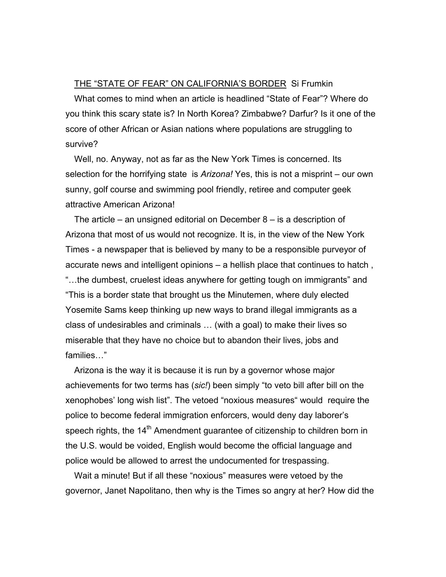## THE "STATE OF FEAR" ON CALIFORNIA'S BORDER Si Frumkin

What comes to mind when an article is headlined "State of Fear"? Where do you think this scary state is? In North Korea? Zimbabwe? Darfur? Is it one of the score of other African or Asian nations where populations are struggling to survive?

Well, no. Anyway, not as far as the New York Times is concerned. Its selection for the horrifying state is *Arizona!* Yes, this is not a misprint – our own sunny, golf course and swimming pool friendly, retiree and computer geek attractive American Arizona!

The article – an unsigned editorial on December 8 – is a description of Arizona that most of us would not recognize. It is, in the view of the New York Times - a newspaper that is believed by many to be a responsible purveyor of accurate news and intelligent opinions – a hellish place that continues to hatch , "…the dumbest, cruelest ideas anywhere for getting tough on immigrants" and "This is a border state that brought us the Minutemen, where duly elected Yosemite Sams keep thinking up new ways to brand illegal immigrants as a class of undesirables and criminals … (with a goal) to make their lives so miserable that they have no choice but to abandon their lives, jobs and families…"

Arizona is the way it is because it is run by a governor whose major achievements for two terms has (*sic!*) been simply "to veto bill after bill on the xenophobes' long wish list". The vetoed "noxious measures" would require the police to become federal immigration enforcers, would deny day laborer's speech rights, the  $14<sup>th</sup>$  Amendment guarantee of citizenship to children born in the U.S. would be voided, English would become the official language and police would be allowed to arrest the undocumented for trespassing.

Wait a minute! But if all these "noxious" measures were vetoed by the governor, Janet Napolitano, then why is the Times so angry at her? How did the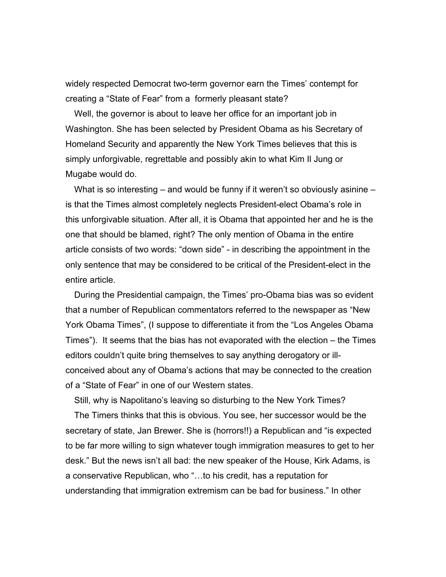widely respected Democrat two-term governor earn the Times' contempt for creating a "State of Fear" from a formerly pleasant state?

Well, the governor is about to leave her office for an important job in Washington. She has been selected by President Obama as his Secretary of Homeland Security and apparently the New York Times believes that this is simply unforgivable, regrettable and possibly akin to what Kim Il Jung or Mugabe would do.

What is so interesting – and would be funny if it weren't so obviously asinine – is that the Times almost completely neglects President-elect Obama's role in this unforgivable situation. After all, it is Obama that appointed her and he is the one that should be blamed, right? The only mention of Obama in the entire article consists of two words: "down side" - in describing the appointment in the only sentence that may be considered to be critical of the President-elect in the entire article.

During the Presidential campaign, the Times' pro-Obama bias was so evident that a number of Republican commentators referred to the newspaper as "New York Obama Times", (I suppose to differentiate it from the "Los Angeles Obama Times"). It seems that the bias has not evaporated with the election – the Times editors couldn't quite bring themselves to say anything derogatory or illconceived about any of Obama's actions that may be connected to the creation of a "State of Fear" in one of our Western states.

Still, why is Napolitano's leaving so disturbing to the New York Times?

The Timers thinks that this is obvious. You see, her successor would be the secretary of state, Jan Brewer. She is (horrors!!) a Republican and "is expected to be far more willing to sign whatever tough immigration measures to get to her desk." But the news isn't all bad: the new speaker of the House, Kirk Adams, is a conservative Republican, who "…to his credit, has a reputation for understanding that immigration extremism can be bad for business." In other